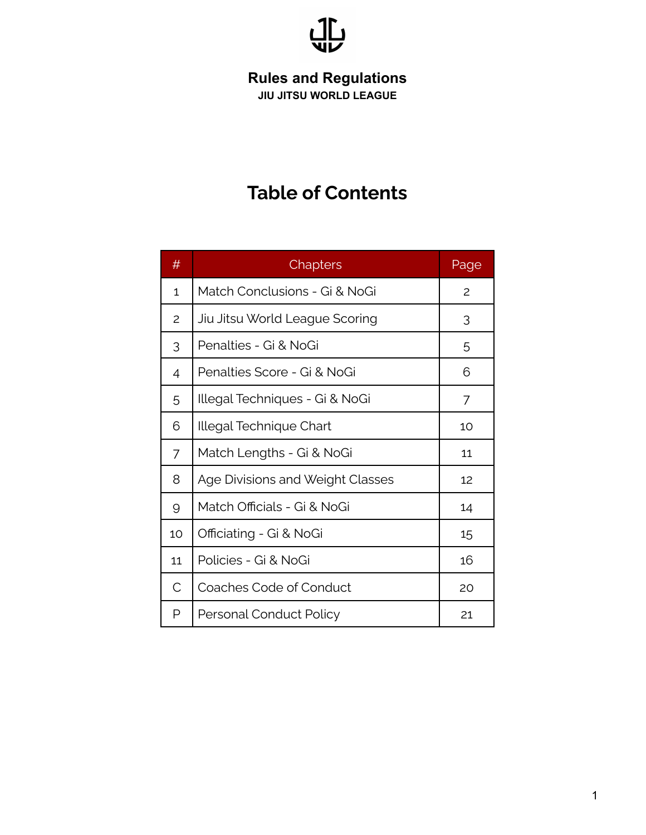

# **Table of Contents**

| $\#$           | Chapters                                | Page |
|----------------|-----------------------------------------|------|
| 1              | Match Conclusions - Gi & NoGi           | 2    |
| 2              | Jiu Jitsu World League Scoring          | 3    |
| 3              | Penalties - Gi & NoGi                   | 5    |
| $\overline{4}$ | Penalties Score - Gi & NoGi             | 6    |
| 5              | Illegal Techniques - Gi & NoGi          | 7    |
| 6              | Illegal Technique Chart                 | 10   |
| $\overline{7}$ | Match Lengths - Gi & NoGi               | 11   |
| 8              | <b>Age Divisions and Weight Classes</b> | 12   |
| 9              | Match Officials - Gi & NoGi             | 14   |
| 10             | Officiating - Gi & NoGi                 | 15   |
| 11             | Policies - Gi & NoGi                    | 16   |
| $\mathsf{C}$   | Coaches Code of Conduct                 | 20   |
| P              | Personal Conduct Policy                 | 21   |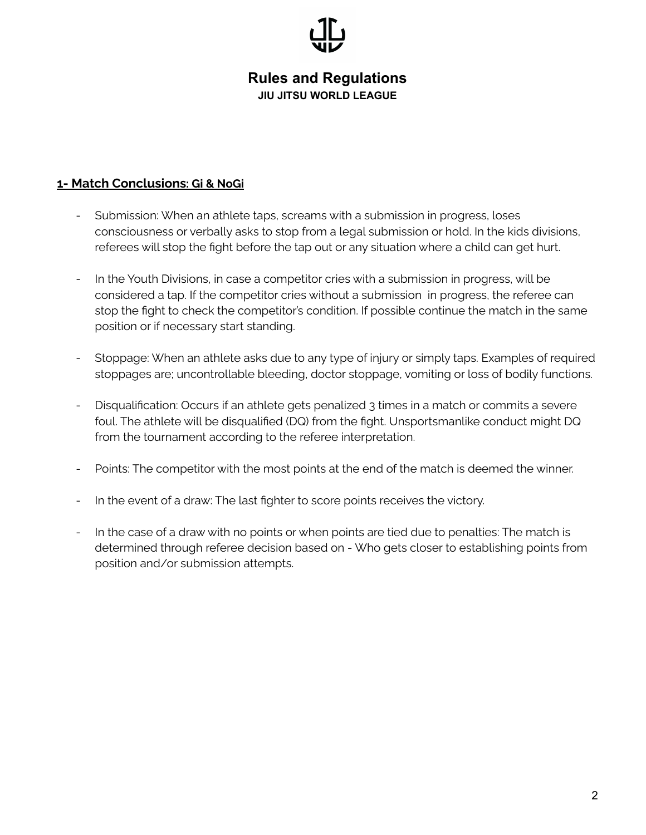#### **1- Match Conclusions: Gi & NoGi**

- Submission: When an athlete taps, screams with a submission in progress, loses consciousness or verbally asks to stop from a legal submission or hold. In the kids divisions, referees will stop the fight before the tap out or any situation where a child can get hurt.
- In the Youth Divisions, in case a competitor cries with a submission in progress, will be considered a tap. If the competitor cries without a submission in progress, the referee can stop the fight to check the competitor's condition. If possible continue the match in the same position or if necessary start standing.
- Stoppage: When an athlete asks due to any type of injury or simply taps. Examples of required stoppages are; uncontrollable bleeding, doctor stoppage, vomiting or loss of bodily functions.
- Disqualification: Occurs if an athlete gets penalized 3 times in a match or commits a severe foul. The athlete will be disqualified (DQ) from the fight. Unsportsmanlike conduct might DQ from the tournament according to the referee interpretation.
- Points: The competitor with the most points at the end of the match is deemed the winner.
- In the event of a draw: The last fighter to score points receives the victory.
- In the case of a draw with no points or when points are tied due to penalties: The match is determined through referee decision based on - Who gets closer to establishing points from position and/or submission attempts.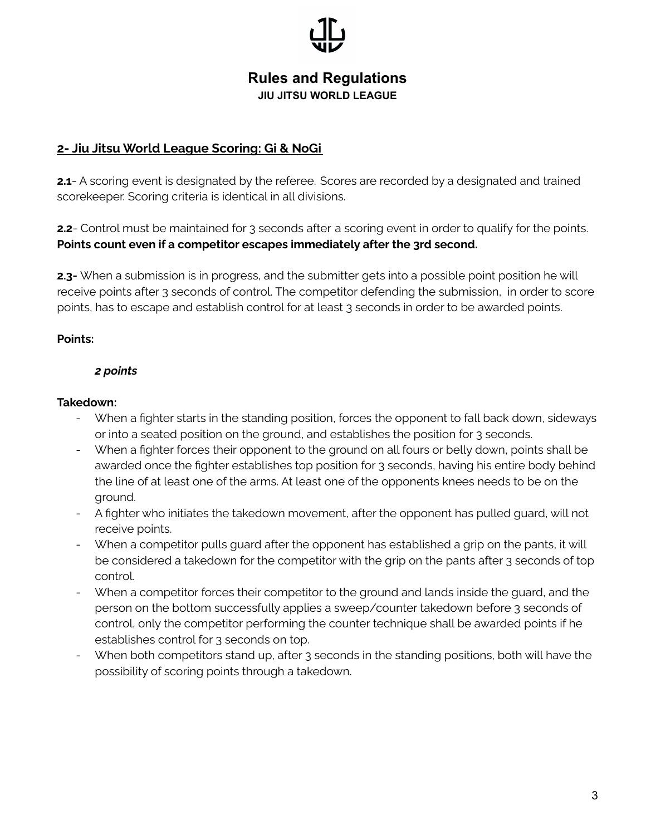#### **2- Jiu Jitsu World League Scoring: Gi & NoGi**

**2.1-** A scoring event is designated by the referee. Scores are recorded by a designated and trained scorekeeper. Scoring criteria is identical in all divisions.

**2.2**- Control must be maintained for 3 seconds after a scoring event in order to qualify for the points. **Points count even if a competitor escapes immediately after the 3rd second.**

**2.3-** When a submission is in progress, and the submitter gets into a possible point position he will receive points after 3 seconds of control. The competitor defending the submission, in order to score points, has to escape and establish control for at least 3 seconds in order to be awarded points.

#### **Points:**

#### *2 points*

#### **Takedown:**

- When a fighter starts in the standing position, forces the opponent to fall back down, sideways or into a seated position on the ground, and establishes the position for 3 seconds.
- When a fighter forces their opponent to the ground on all fours or belly down, points shall be awarded once the fighter establishes top position for 3 seconds, having his entire body behind the line of at least one of the arms. At least one of the opponents knees needs to be on the ground.
- A fighter who initiates the takedown movement, after the opponent has pulled guard, will not receive points.
- When a competitor pulls guard after the opponent has established a grip on the pants, it will be considered a takedown for the competitor with the grip on the pants after 3 seconds of top control.
- When a competitor forces their competitor to the ground and lands inside the guard, and the person on the bottom successfully applies a sweep/counter takedown before 3 seconds of control, only the competitor performing the counter technique shall be awarded points if he establishes control for 3 seconds on top.
- When both competitors stand up, after 3 seconds in the standing positions, both will have the possibility of scoring points through a takedown.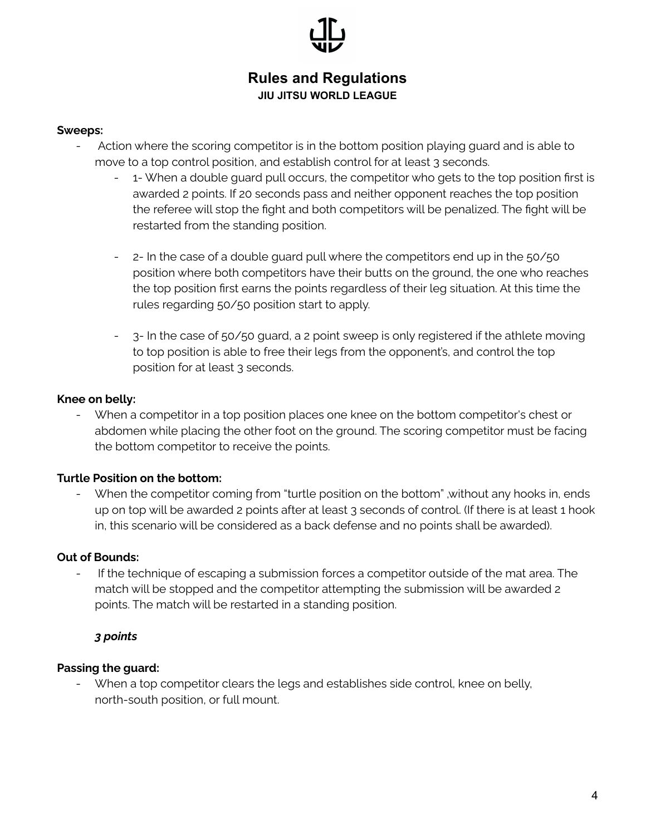#### **Sweeps:**

- Action where the scoring competitor is in the bottom position playing guard and is able to move to a top control position, and establish control for at least 3 seconds.
	- 1- When a double guard pull occurs, the competitor who gets to the top position first is awarded 2 points. If 20 seconds pass and neither opponent reaches the top position the referee will stop the fight and both competitors will be penalized. The fight will be restarted from the standing position.
	- 2- In the case of a double guard pull where the competitors end up in the 50/50 position where both competitors have their butts on the ground, the one who reaches the top position first earns the points regardless of their leg situation. At this time the rules regarding 50/50 position start to apply.
	- 3- In the case of 50/50 guard, a 2 point sweep is only registered if the athlete moving to top position is able to free their legs from the opponent's, and control the top position for at least 3 seconds.

#### **Knee on belly:**

- When a competitor in a top position places one knee on the bottom competitor's chest or abdomen while placing the other foot on the ground. The scoring competitor must be facing the bottom competitor to receive the points.

#### **Turtle Position on the bottom:**

When the competitor coming from "turtle position on the bottom" , without any hooks in, ends up on top will be awarded 2 points after at least 3 seconds of control. (If there is at least 1 hook in, this scenario will be considered as a back defense and no points shall be awarded).

#### **Out of Bounds:**

- If the technique of escaping a submission forces a competitor outside of the mat area. The match will be stopped and the competitor attempting the submission will be awarded 2 points. The match will be restarted in a standing position.

#### *3 points*

#### **Passing the guard:**

- When a top competitor clears the legs and establishes side control, knee on belly, north-south position, or full mount.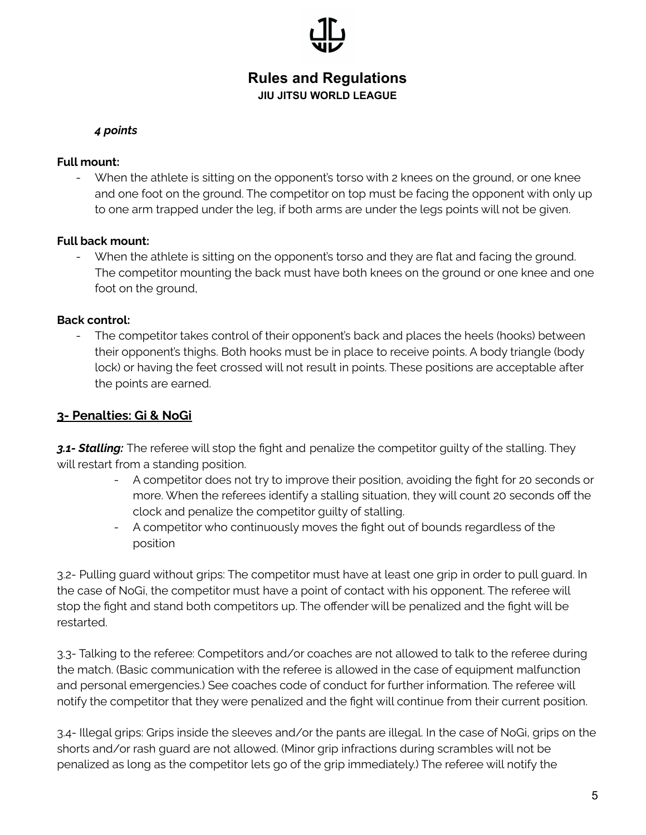## **JIU JITSU WORLD LEAGUE**

#### *4 points*

#### **Full mount:**

- When the athlete is sitting on the opponent's torso with 2 knees on the ground, or one knee and one foot on the ground. The competitor on top must be facing the opponent with only up to one arm trapped under the leg, if both arms are under the legs points will not be given.

#### **Full back mount:**

When the athlete is sitting on the opponent's torso and they are flat and facing the ground. The competitor mounting the back must have both knees on the ground or one knee and one foot on the ground,

#### **Back control:**

The competitor takes control of their opponent's back and places the heels (hooks) between their opponent's thighs. Both hooks must be in place to receive points. A body triangle (body lock) or having the feet crossed will not result in points. These positions are acceptable after the points are earned.

#### **3- Penalties: Gi & NoGi**

*3.1- Stalling:* The referee will stop the fight and penalize the competitor guilty of the stalling. They will restart from a standing position.

- A competitor does not try to improve their position, avoiding the fight for 20 seconds or more. When the referees identify a stalling situation, they will count 20 seconds off the clock and penalize the competitor guilty of stalling.
- A competitor who continuously moves the fight out of bounds regardless of the position

3.2- Pulling guard without grips: The competitor must have at least one grip in order to pull guard. In the case of NoGi, the competitor must have a point of contact with his opponent. The referee will stop the fight and stand both competitors up. The offender will be penalized and the fight will be restarted.

3.3- Talking to the referee: Competitors and/or coaches are not allowed to talk to the referee during the match. (Basic communication with the referee is allowed in the case of equipment malfunction and personal emergencies.) See coaches code of conduct for further information. The referee will notify the competitor that they were penalized and the fight will continue from their current position.

3.4- Illegal grips: Grips inside the sleeves and/or the pants are illegal. In the case of NoGi, grips on the shorts and/or rash guard are not allowed. (Minor grip infractions during scrambles will not be penalized as long as the competitor lets go of the grip immediately.) The referee will notify the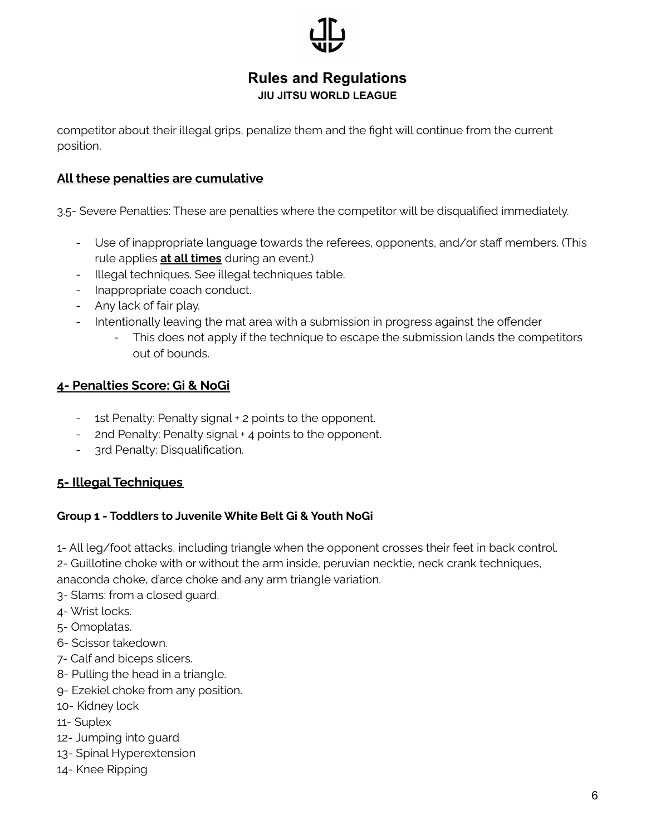competitor about their illegal grips, penalize them and the fight will continue from the current position.

### **All these penalties are cumulative**

3.5- Severe Penalties: These are penalties where the competitor will be disqualified immediately.

- Use of inappropriate language towards the referees, opponents, and/or staff members. (This rule applies **at all times** during an event.)
- Illegal techniques. See illegal techniques table.
- Inappropriate coach conduct.
- Any lack of fair play.
- Intentionally leaving the mat area with a submission in progress against the offender
	- This does not apply if the technique to escape the submission lands the competitors out of bounds.

### **4- Penalties Score: Gi & NoGi**

- 1st Penalty: Penalty signal + 2 points to the opponent.
- 2nd Penalty: Penalty signal + 4 points to the opponent.
- 3rd Penalty: Disqualification.

### **5- Illegal Techniques**

#### **Group 1 - Toddlers to Juvenile White Belt Gi & Youth NoGi**

1- All leg/foot attacks, including triangle when the opponent crosses their feet in back control.

2- Guillotine choke with or without the arm inside, peruvian necktie, neck crank techniques,

anaconda choke, d'arce choke and any arm triangle variation.

- 3- Slams: from a closed guard.
- 4- Wrist locks.
- 5- Omoplatas.
- 6- Scissor takedown.
- 7- Calf and biceps slicers.
- 8- Pulling the head in a triangle.
- 9- Ezekiel choke from any position.
- 10- Kidney lock
- 11- Suplex
- 12- Jumping into guard
- 13- Spinal Hyperextension
- 14- Knee Ripping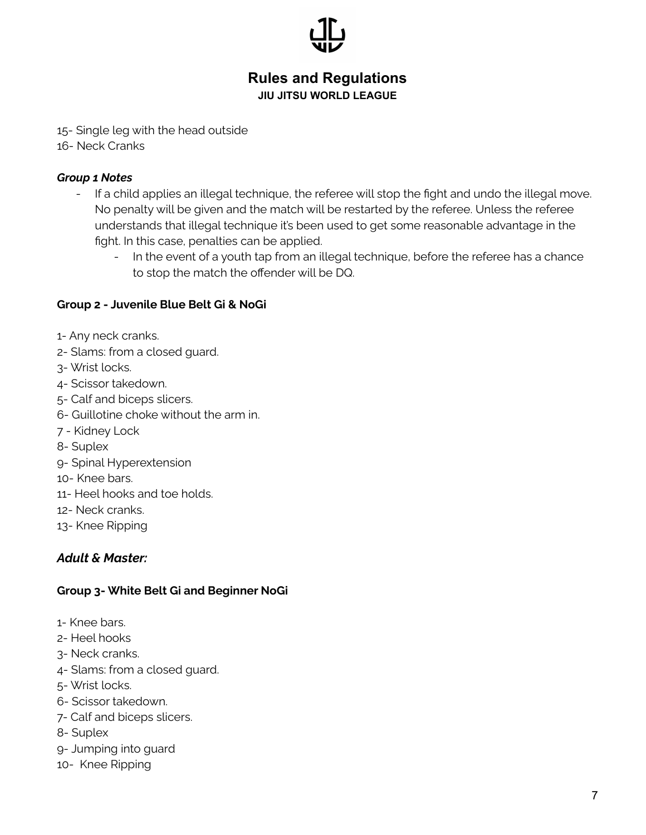

- 15- Single leg with the head outside
- 16- Neck Cranks

#### *Group 1 Notes*

- If a child applies an illegal technique, the referee will stop the fight and undo the illegal move. No penalty will be given and the match will be restarted by the referee. Unless the referee understands that illegal technique it's been used to get some reasonable advantage in the fight. In this case, penalties can be applied.
	- In the event of a youth tap from an illegal technique, before the referee has a chance to stop the match the offender will be DQ.

#### **Group 2 - Juvenile Blue Belt Gi & NoGi**

- 1- Any neck cranks.
- 2- Slams: from a closed guard.
- 3- Wrist locks.
- 4- Scissor takedown.
- 5- Calf and biceps slicers.
- 6- Guillotine choke without the arm in.
- 7 Kidney Lock
- 8- Suplex
- 9- Spinal Hyperextension
- 10- Knee bars.
- 11- Heel hooks and toe holds.
- 12- Neck cranks.
- 13- Knee Ripping

#### *Adult & Master:*

#### **Group 3- White Belt Gi and Beginner NoGi**

- 1- Knee bars.
- 2- Heel hooks
- 3- Neck cranks.
- 4- Slams: from a closed guard.
- 5- Wrist locks.
- 6- Scissor takedown.
- 7- Calf and biceps slicers.
- 8- Suplex
- 9- Jumping into guard
- 10- Knee Ripping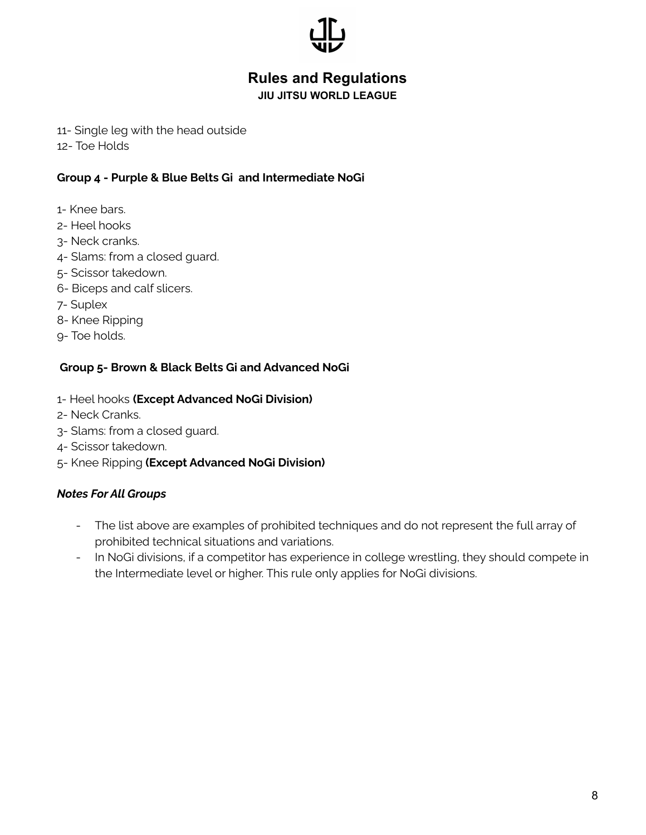

#### **JIU JITSU WORLD LEAGUE**

- 11- Single leg with the head outside
- 12- Toe Holds

#### **Group 4 - Purple & Blue Belts Gi and Intermediate NoGi**

- 1- Knee bars.
- 2- Heel hooks
- 3- Neck cranks.
- 4- Slams: from a closed guard.
- 5- Scissor takedown.
- 6- Biceps and calf slicers.
- 7- Suplex
- 8- Knee Ripping
- 9- Toe holds.

#### **Group 5- Brown & Black Belts Gi and Advanced NoGi**

- 1- Heel hooks **(Except Advanced NoGi Division)**
- 2- Neck Cranks.
- 3- Slams: from a closed guard.
- 4- Scissor takedown.
- 5- Knee Ripping **(Except Advanced NoGi Division)**

#### *Notes For All Groups*

- The list above are examples of prohibited techniques and do not represent the full array of prohibited technical situations and variations.
- In NoGi divisions, if a competitor has experience in college wrestling, they should compete in the Intermediate level or higher. This rule only applies for NoGi divisions.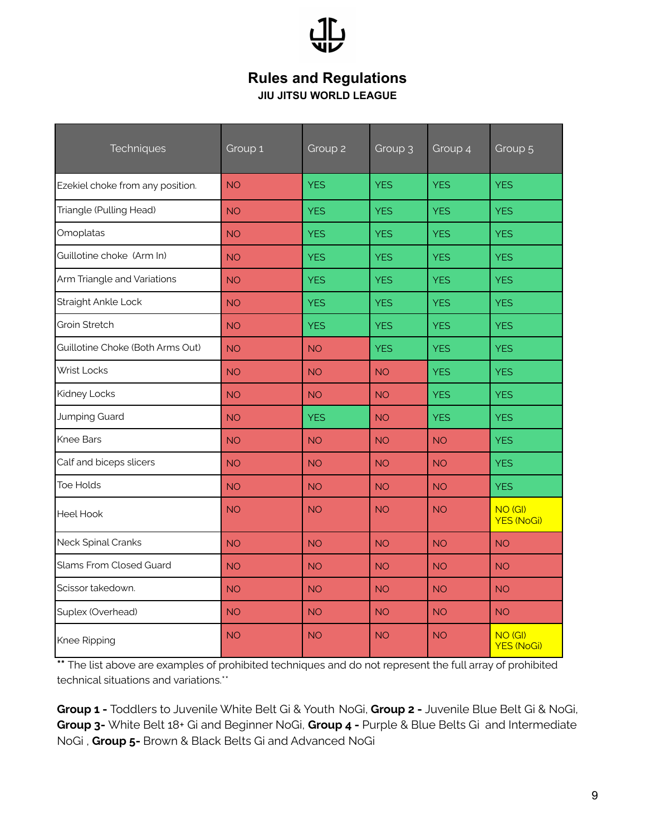

| Techniques                       | Group 1   | Group <sub>2</sub> | Group 3    | Group 4    | Group <sub>5</sub>                      |
|----------------------------------|-----------|--------------------|------------|------------|-----------------------------------------|
| Ezekiel choke from any position. | <b>NO</b> | <b>YES</b>         | <b>YES</b> | <b>YES</b> | <b>YES</b>                              |
| Triangle (Pulling Head)          | <b>NO</b> | <b>YES</b>         | <b>YES</b> | <b>YES</b> | <b>YES</b>                              |
| Omoplatas                        | <b>NO</b> | <b>YES</b>         | <b>YES</b> | <b>YES</b> | <b>YES</b>                              |
| Guillotine choke (Arm In)        | <b>NO</b> | <b>YES</b>         | <b>YES</b> | <b>YES</b> | <b>YES</b>                              |
| Arm Triangle and Variations      | <b>NO</b> | <b>YES</b>         | <b>YES</b> | <b>YES</b> | <b>YES</b>                              |
| Straight Ankle Lock              | <b>NO</b> | <b>YES</b>         | <b>YES</b> | <b>YES</b> | <b>YES</b>                              |
| Groin Stretch                    | <b>NO</b> | <b>YES</b>         | <b>YES</b> | <b>YES</b> | <b>YES</b>                              |
| Guillotine Choke (Both Arms Out) | <b>NO</b> | <b>NO</b>          | <b>YES</b> | <b>YES</b> | <b>YES</b>                              |
| <b>Wrist Locks</b>               | <b>NO</b> | <b>NO</b>          | <b>NO</b>  | <b>YES</b> | <b>YES</b>                              |
| Kidney Locks                     | <b>NO</b> | <b>NO</b>          | <b>NO</b>  | <b>YES</b> | <b>YES</b>                              |
| Jumping Guard                    | <b>NO</b> | <b>YES</b>         | <b>NO</b>  | <b>YES</b> | <b>YES</b>                              |
| <b>Knee Bars</b>                 | <b>NO</b> | <b>NO</b>          | <b>NO</b>  | <b>NO</b>  | <b>YES</b>                              |
| Calf and biceps slicers          | <b>NO</b> | <b>NO</b>          | <b>NO</b>  | <b>NO</b>  | <b>YES</b>                              |
| <b>Toe Holds</b>                 | <b>NO</b> | <b>NO</b>          | <b>NO</b>  | <b>NO</b>  | <b>YES</b>                              |
| Heel Hook                        | <b>NO</b> | <b>NO</b>          | <b>NO</b>  | <b>NO</b>  | NO (GI)<br><b>YES (NoGi)</b>            |
| Neck Spinal Cranks               | <b>NO</b> | <b>NO</b>          | <b>NO</b>  | <b>NO</b>  | <b>NO</b>                               |
| Slams From Closed Guard          | <b>NO</b> | <b>NO</b>          | <b>NO</b>  | <b>NO</b>  | <b>NO</b>                               |
| Scissor takedown.                | <b>NO</b> | <b>NO</b>          | <b>NO</b>  | <b>NO</b>  | <b>NO</b>                               |
| Suplex (Overhead)                | <b>NO</b> | <b>NO</b>          | <b>NO</b>  | <b>NO</b>  | <b>NO</b>                               |
| Knee Ripping                     | <b>NO</b> | <b>NO</b>          | <b>NO</b>  | <b>NO</b>  | NO <sub>(GI)</sub><br><b>YES (NoGi)</b> |

\*\* The list above are examples of prohibited techniques and do not represent the full array of prohibited technical situations and variations.\*\*

**Group 1 -** Toddlers to Juvenile White Belt Gi & Youth NoGi, **Group 2 -** Juvenile Blue Belt Gi & NoGi, **Group 3-** White Belt 18+ Gi and Beginner NoGi, **Group 4 -** Purple & Blue Belts Gi and Intermediate NoGi , **Group 5-** Brown & Black Belts Gi and Advanced NoGi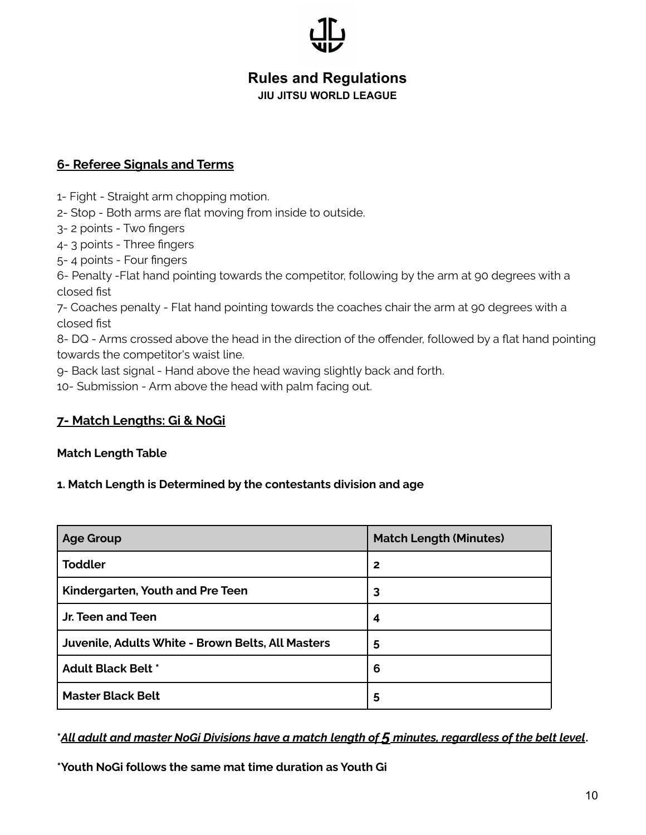**JIU JITSU WORLD LEAGUE**

#### **6- Referee Signals and Terms**

- 1- Fight Straight arm chopping motion.
- 2- Stop Both arms are flat moving from inside to outside.
- 3- 2 points Two fingers
- 4- 3 points Three fingers
- 5- 4 points Four fingers

6- Penalty -Flat hand pointing towards the competitor, following by the arm at 90 degrees with a closed fist

7- Coaches penalty - Flat hand pointing towards the coaches chair the arm at 90 degrees with a closed fist

8- DQ - Arms crossed above the head in the direction of the offender, followed by a flat hand pointing towards the competitor's waist line.

9- Back last signal - Hand above the head waving slightly back and forth.

10- Submission - Arm above the head with palm facing out.

#### **7- Match Lengths: Gi & NoGi**

#### **Match Length Table**

#### **1. Match Length is Determined by the contestants division and age**

| <b>Age Group</b>                                  | <b>Match Length (Minutes)</b> |  |  |  |
|---------------------------------------------------|-------------------------------|--|--|--|
| <b>Toddler</b>                                    | $\mathbf{2}$                  |  |  |  |
| Kindergarten, Youth and Pre Teen                  | 3                             |  |  |  |
| Jr. Teen and Teen                                 | 4                             |  |  |  |
| Juvenile, Adults White - Brown Belts, All Masters | 5                             |  |  |  |
| <b>Adult Black Belt *</b>                         | 6                             |  |  |  |
| <b>Master Black Belt</b>                          | 5                             |  |  |  |

<u>All adult and master NoGi Divisions have a match length of 5 minutes, regardless of the belt level. \*</u>

**\*Youth NoGi follows the same mat time duration as Youth Gi**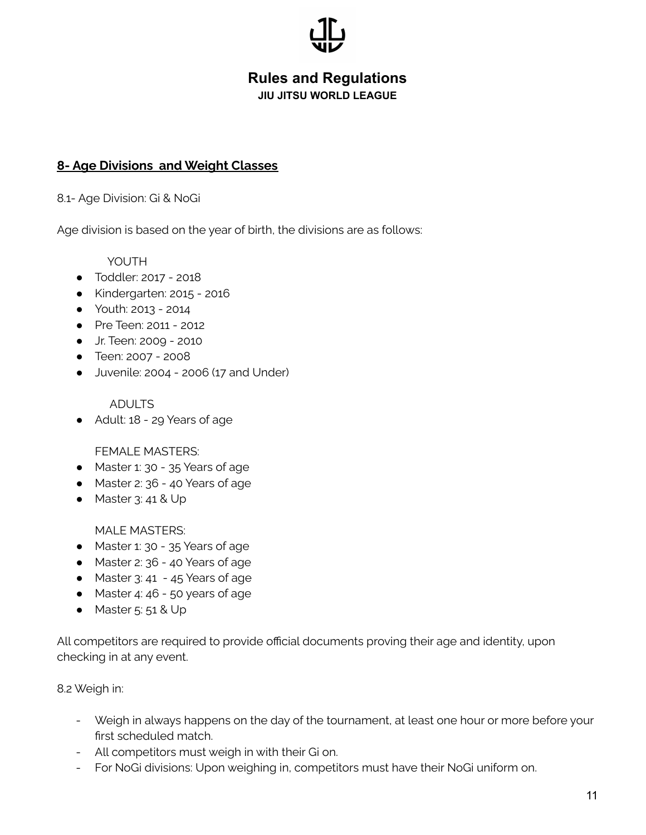**JIU JITSU WORLD LEAGUE**

#### **8- Age Divisions and Weight Classes**

8.1- Age Division: Gi & NoGi

Age division is based on the year of birth, the divisions are as follows:

YOUTH

- Toddler: 2017 2018
- Kindergarten: 2015 2016
- Youth: 2013 2014
- Pre Teen: 2011 2012
- Jr. Teen: 2009 2010
- Teen: 2007 2008
- Juvenile: 2004 2006 (17 and Under)

ADULTS

● Adult: 18 - 29 Years of age

FEMALE MASTERS:

- Master 1: 30 35 Years of age
- Master 2: 36 40 Years of age
- Master 3: 41 & Up

MALE MASTERS:

- Master 1: 30 35 Years of age
- Master 2: 36 40 Years of age
- Master 3: 41 45 Years of age
- Master 4: 46 50 years of age
- Master 5: 51 & Up

All competitors are required to provide official documents proving their age and identity, upon checking in at any event.

8.2 Weigh in:

- Weigh in always happens on the day of the tournament, at least one hour or more before your first scheduled match.
- All competitors must weigh in with their Gi on.
- For NoGi divisions: Upon weighing in, competitors must have their NoGi uniform on.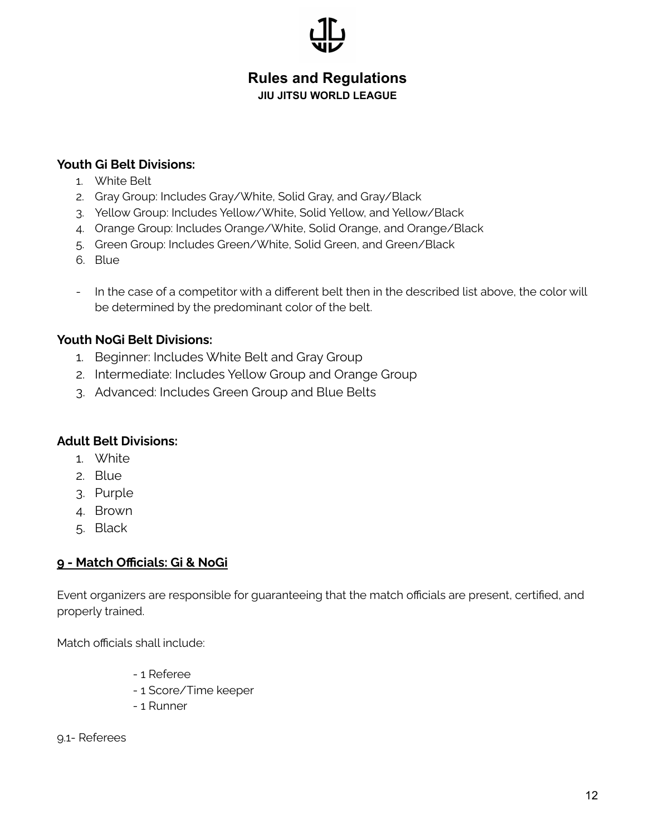**JIU JITSU WORLD LEAGUE**

#### **Youth Gi Belt Divisions:**

- 1. White Belt
- 2. Gray Group: Includes Gray/White, Solid Gray, and Gray/Black
- 3. Yellow Group: Includes Yellow/White, Solid Yellow, and Yellow/Black
- 4. Orange Group: Includes Orange/White, Solid Orange, and Orange/Black
- 5. Green Group: Includes Green/White, Solid Green, and Green/Black
- 6. Blue
- In the case of a competitor with a different belt then in the described list above, the color will be determined by the predominant color of the belt.

#### **Youth NoGi Belt Divisions:**

- 1. Beginner: Includes White Belt and Gray Group
- 2. Intermediate: Includes Yellow Group and Orange Group
- 3. Advanced: Includes Green Group and Blue Belts

#### **Adult Belt Divisions:**

- 1. White
- 2. Blue
- 3. Purple
- 4. Brown
- 5. Black

#### **9 - Match Officials: Gi & NoGi**

Event organizers are responsible for guaranteeing that the match officials are present, certified, and properly trained.

Match officials shall include:

- 1 Referee
- 1 Score/Time keeper
- 1 Runner

9.1- Referees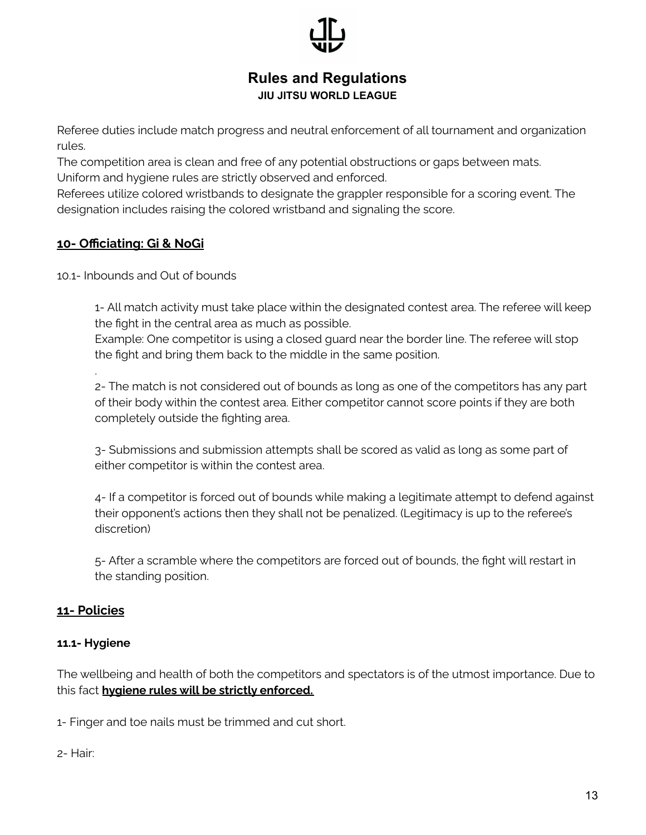Referee duties include match progress and neutral enforcement of all tournament and organization rules.

The competition area is clean and free of any potential obstructions or gaps between mats. Uniform and hygiene rules are strictly observed and enforced.

Referees utilize colored wristbands to designate the grappler responsible for a scoring event. The designation includes raising the colored wristband and signaling the score.

### **10- Officiating: Gi & NoGi**

10.1- Inbounds and Out of bounds

1- All match activity must take place within the designated contest area. The referee will keep the fight in the central area as much as possible.

Example: One competitor is using a closed guard near the border line. The referee will stop the fight and bring them back to the middle in the same position.

2- The match is not considered out of bounds as long as one of the competitors has any part of their body within the contest area. Either competitor cannot score points if they are both completely outside the fighting area.

3- Submissions and submission attempts shall be scored as valid as long as some part of either competitor is within the contest area.

4- If a competitor is forced out of bounds while making a legitimate attempt to defend against their opponent's actions then they shall not be penalized. (Legitimacy is up to the referee's discretion)

5- After a scramble where the competitors are forced out of bounds, the fight will restart in the standing position.

### **11- Policies**

.

#### **11.1- Hygiene**

The wellbeing and health of both the competitors and spectators is of the utmost importance. Due to this fact **hygiene rules will be strictly enforced.**

1- Finger and toe nails must be trimmed and cut short.

2- Hair: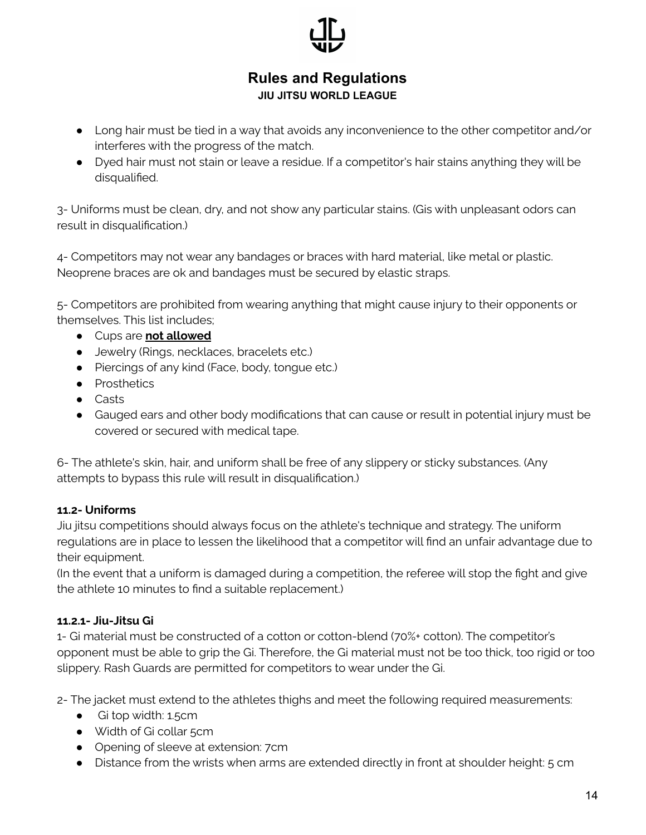

- Long hair must be tied in a way that avoids any inconvenience to the other competitor and/or interferes with the progress of the match.
- Dyed hair must not stain or leave a residue. If a competitor's hair stains anything they will be disqualified.

3- Uniforms must be clean, dry, and not show any particular stains. (Gis with unpleasant odors can result in disqualification.)

4- Competitors may not wear any bandages or braces with hard material, like metal or plastic. Neoprene braces are ok and bandages must be secured by elastic straps.

5- Competitors are prohibited from wearing anything that might cause injury to their opponents or themselves. This list includes;

- Cups are **not allowed**
- Jewelry (Rings, necklaces, bracelets etc.)
- Piercings of any kind (Face, body, tongue etc.)
- Prosthetics
- Casts
- Gauged ears and other body modifications that can cause or result in potential injury must be covered or secured with medical tape.

6- The athlete's skin, hair, and uniform shall be free of any slippery or sticky substances. (Any attempts to bypass this rule will result in disqualification.)

#### **11.2- Uniforms**

Jiu jitsu competitions should always focus on the athlete's technique and strategy. The uniform regulations are in place to lessen the likelihood that a competitor will find an unfair advantage due to their equipment.

(In the event that a uniform is damaged during a competition, the referee will stop the fight and give the athlete 10 minutes to find a suitable replacement.)

#### **11.2.1- Jiu-Jitsu Gi**

1- Gi material must be constructed of a cotton or cotton-blend (70%+ cotton). The competitor's opponent must be able to grip the Gi. Therefore, the Gi material must not be too thick, too rigid or too slippery. Rash Guards are permitted for competitors to wear under the Gi.

2- The jacket must extend to the athletes thighs and meet the following required measurements:

- Gi top width: 1.5cm
- Width of Gi collar 5cm
- Opening of sleeve at extension: 7cm
- Distance from the wrists when arms are extended directly in front at shoulder height: 5 cm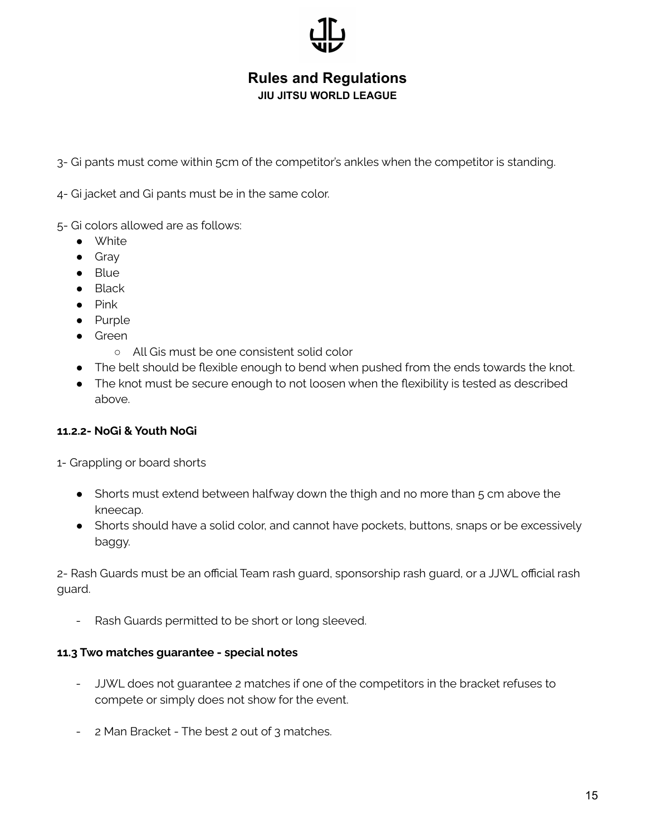**JIU JITSU WORLD LEAGUE**

3- Gi pants must come within 5cm of the competitor's ankles when the competitor is standing.

4- Gi jacket and Gi pants must be in the same color.

- 5- Gi colors allowed are as follows:
	- White
	- Gray
	- Blue
	- Black
	- Pink
	- Purple
	- Green
		- All Gis must be one consistent solid color
	- The belt should be flexible enough to bend when pushed from the ends towards the knot.
	- The knot must be secure enough to not loosen when the flexibility is tested as described above.

#### **11.2.2- NoGi & Youth NoGi**

1- Grappling or board shorts

- Shorts must extend between halfway down the thigh and no more than 5 cm above the kneecap.
- Shorts should have a solid color, and cannot have pockets, buttons, snaps or be excessively baggy.

2- Rash Guards must be an official Team rash guard, sponsorship rash guard, or a JJWL official rash guard.

Rash Guards permitted to be short or long sleeved.

#### **11.3 Two matches guarantee - special notes**

- JJWL does not guarantee 2 matches if one of the competitors in the bracket refuses to compete or simply does not show for the event.
- 2 Man Bracket The best 2 out of 3 matches.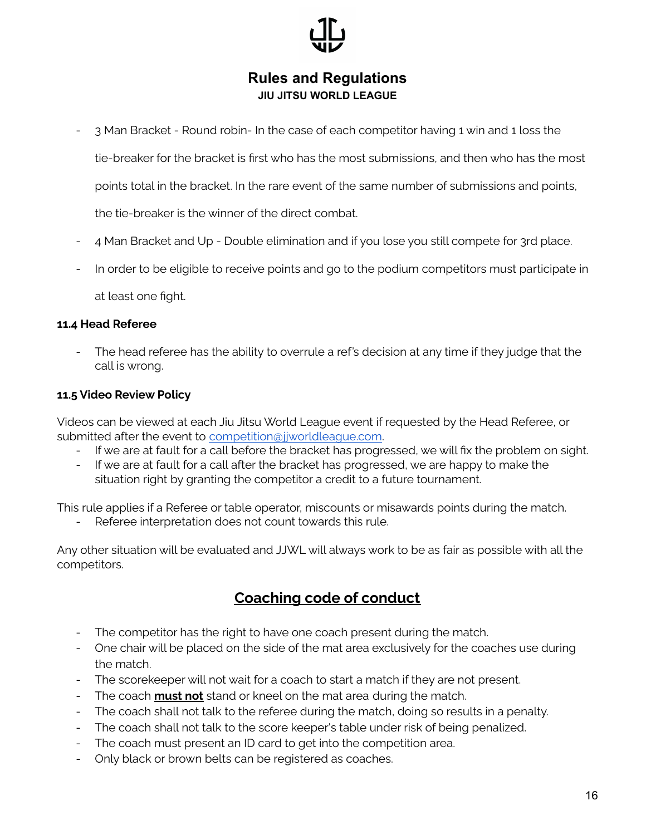- 3 Man Bracket - Round robin- In the case of each competitor having 1 win and 1 loss the

tie-breaker for the bracket is first who has the most submissions, and then who has the most

points total in the bracket. In the rare event of the same number of submissions and points,

the tie-breaker is the winner of the direct combat.

- 4 Man Bracket and Up Double elimination and if you lose you still compete for 3rd place.
- In order to be eligible to receive points and go to the podium competitors must participate in

at least one fight.

#### **11.4 Head Referee**

The head referee has the ability to overrule a ref's decision at any time if they judge that the call is wrong.

#### **11.5 Video Review Policy**

Videos can be viewed at each Jiu Jitsu World League event if requested by the Head Referee, or submitted after the event to [competition@jjworldleague.com](mailto:info@jjworldleague.com).

- If we are at fault for a call before the bracket has progressed, we will fix the problem on sight.
- If we are at fault for a call after the bracket has progressed, we are happy to make the situation right by granting the competitor a credit to a future tournament.

This rule applies if a Referee or table operator, miscounts or misawards points during the match.

Referee interpretation does not count towards this rule.

Any other situation will be evaluated and JJWL will always work to be as fair as possible with all the competitors.

## **Coaching code of conduct**

- The competitor has the right to have one coach present during the match.
- One chair will be placed on the side of the mat area exclusively for the coaches use during the match.
- The scorekeeper will not wait for a coach to start a match if they are not present.
- The coach **must not** stand or kneel on the mat area during the match.
- The coach shall not talk to the referee during the match, doing so results in a penalty.
- The coach shall not talk to the score keeper's table under risk of being penalized.
- The coach must present an ID card to get into the competition area.
- Only black or brown belts can be registered as coaches.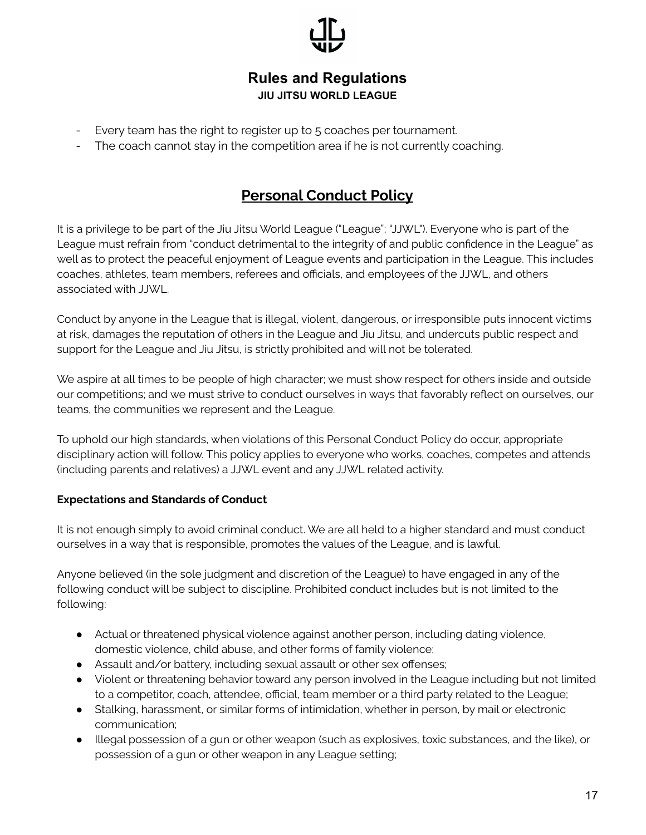

- Every team has the right to register up to 5 coaches per tournament.
- The coach cannot stay in the competition area if he is not currently coaching.

# **Personal Conduct Policy**

It is a privilege to be part of the Jiu Jitsu World League ("League"; "JJWL"). Everyone who is part of the League must refrain from "conduct detrimental to the integrity of and public confidence in the League" as well as to protect the peaceful enjoyment of League events and participation in the League. This includes coaches, athletes, team members, referees and officials, and employees of the JJWL, and others associated with JJWL.

Conduct by anyone in the League that is illegal, violent, dangerous, or irresponsible puts innocent victims at risk, damages the reputation of others in the League and Jiu Jitsu, and undercuts public respect and support for the League and Jiu Jitsu, is strictly prohibited and will not be tolerated.

We aspire at all times to be people of high character; we must show respect for others inside and outside our competitions; and we must strive to conduct ourselves in ways that favorably reflect on ourselves, our teams, the communities we represent and the League.

To uphold our high standards, when violations of this Personal Conduct Policy do occur, appropriate disciplinary action will follow. This policy applies to everyone who works, coaches, competes and attends (including parents and relatives) a JJWL event and any JJWL related activity.

#### **Expectations and Standards of Conduct**

It is not enough simply to avoid criminal conduct. We are all held to a higher standard and must conduct ourselves in a way that is responsible, promotes the values of the League, and is lawful.

Anyone believed (in the sole judgment and discretion of the League) to have engaged in any of the following conduct will be subject to discipline. Prohibited conduct includes but is not limited to the following:

- Actual or threatened physical violence against another person, including dating violence, domestic violence, child abuse, and other forms of family violence;
- Assault and/or battery, including sexual assault or other sex offenses;
- Violent or threatening behavior toward any person involved in the League including but not limited to a competitor, coach, attendee, official, team member or a third party related to the League;
- Stalking, harassment, or similar forms of intimidation, whether in person, by mail or electronic communication;
- Illegal possession of a gun or other weapon (such as explosives, toxic substances, and the like), or possession of a gun or other weapon in any League setting;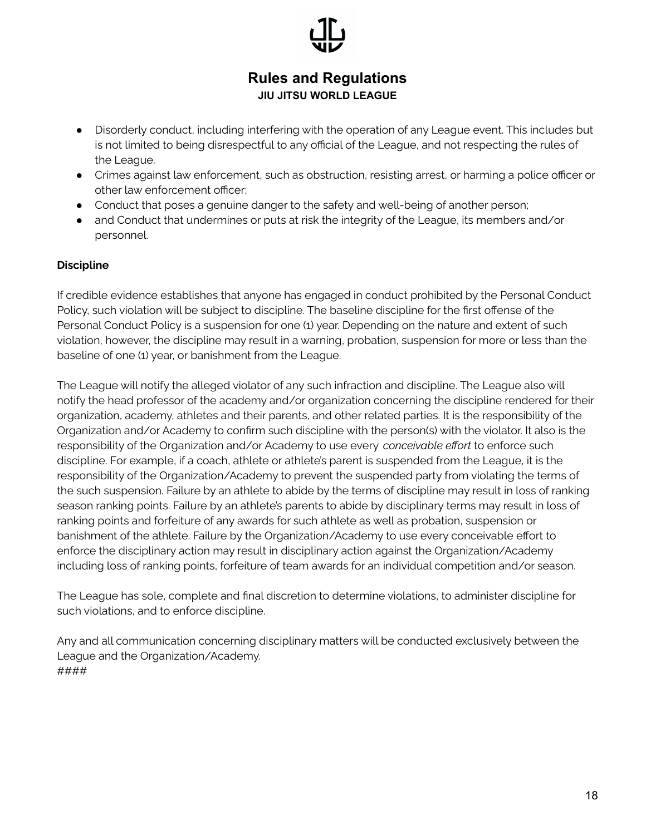- Disorderly conduct, including interfering with the operation of any League event. This includes but is not limited to being disrespectful to any official of the League, and not respecting the rules of the League.
- Crimes against law enforcement, such as obstruction, resisting arrest, or harming a police officer or other law enforcement officer;
- Conduct that poses a genuine danger to the safety and well-being of another person;
- and Conduct that undermines or puts at risk the integrity of the League, its members and/or personnel.

#### **Discipline**

If credible evidence establishes that anyone has engaged in conduct prohibited by the Personal Conduct Policy, such violation will be subject to discipline. The baseline discipline for the first offense of the Personal Conduct Policy is a suspension for one (1) year. Depending on the nature and extent of such violation, however, the discipline may result in a warning, probation, suspension for more or less than the baseline of one (1) year, or banishment from the League.

The League will notify the alleged violator of any such infraction and discipline. The League also will notify the head professor of the academy and/or organization concerning the discipline rendered for their organization, academy, athletes and their parents, and other related parties. It is the responsibility of the Organization and/or Academy to confirm such discipline with the person(s) with the violator. It also is the responsibility of the Organization and/or Academy to use every *conceivable effort* to enforce such discipline. For example, if a coach, athlete or athlete's parent is suspended from the League, it is the responsibility of the Organization/Academy to prevent the suspended party from violating the terms of the such suspension. Failure by an athlete to abide by the terms of discipline may result in loss of ranking season ranking points. Failure by an athlete's parents to abide by disciplinary terms may result in loss of ranking points and forfeiture of any awards for such athlete as well as probation, suspension or banishment of the athlete. Failure by the Organization/Academy to use every conceivable effort to enforce the disciplinary action may result in disciplinary action against the Organization/Academy including loss of ranking points, forfeiture of team awards for an individual competition and/or season.

The League has sole, complete and final discretion to determine violations, to administer discipline for such violations, and to enforce discipline.

Any and all communication concerning disciplinary matters will be conducted exclusively between the League and the Organization/Academy. ####